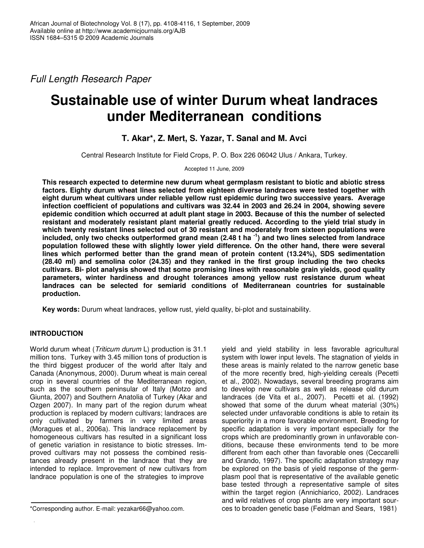*Full Length Research Paper*

# **Sustainable use of winter Durum wheat landraces under Mediterranean conditions**

## **T. Akar\*, Z. Mert, S. Yazar, T. Sanal and M. Avci**

Central Research Institute for Field Crops, P. O. Box 226 06042 Ulus / Ankara, Turkey.

Accepted 11 June, 2009

**This research expected to determine new durum wheat germplasm resistant to biotic and abiotic stress factors. Eighty durum wheat lines selected from eighteen diverse landraces were tested together with eight durum wheat cultivars under reliable yellow rust epidemic during two successive years. Average infection coefficient of populations and cultivars was 32.44 in 2003 and 26.24 in 2004, showing severe epidemic condition which occurred at adult plant stage in 2003. Because of this the number of selected resistant and moderately resistant plant material greatly reduced. According to the yield trial study in which twenty resistant lines selected out of 30 resistant and moderately from sixteen populations were** included, only two checks outperformed grand mean (2.48 t ha <sup>-1</sup>) and two lines selected from landrace **population followed these with slightly lower yield difference. On the other hand, there were several lines which performed better than the grand mean of protein content (13.24%), SDS sedimentation (28.40 ml) and semolina color (24.35) and they ranked in the first group including the two checks cultivars. Bi- plot analysis showed that some promising lines with reasonable grain yields, good quality parameters, winter hardiness and drought tolerances among yellow rust resistance durum wheat landraces can be selected for semiarid conditions of Mediterranean countries for sustainable production.**

**Key words:** Durum wheat landraces, yellow rust, yield quality, bi-plot and sustainability.

### **INTRODUCTION**

World durum wheat (*Triticum durum* L) production is 31.1 million tons. Turkey with 3.45 million tons of production is the third biggest producer of the world after Italy and Canada (Anonymous, 2000). Durum wheat is main cereal crop in several countries of the Mediterranean region, such as the southern peninsular of Italy (Motzo and Giunta, 2007) and Southern Anatolia of Turkey (Akar and Ozgen 2007). In many part of the region durum wheat production is replaced by modern cultivars; landraces are only cultivated by farmers in very limited areas (Moragues et al., 2006a). This landrace replacement by homogeneous cultivars has resulted in a significant loss of genetic variation in resistance to biotic stresses. Improved cultivars may not possess the combined resistances already present in the landrace that they are intended to replace. Improvement of new cultivars from landrace population is one of the strategies to improve

yield and yield stability in less favorable agricultural system with lower input levels. The stagnation of yields in these areas is mainly related to the narrow genetic base of the more recently bred, high-yielding cereals (Pecetti et al., 2002). Nowadays, several breeding programs aim to develop new cultivars as well as release old durum landraces (de Vita et al., 2007). Pecetti et al. (1992) showed that some of the durum wheat material (30%) selected under unfavorable conditions is able to retain its superiority in a more favorable environment. Breeding for specific adaptation is very important especially for the crops which are predominantly grown in unfavorable conditions, because these environments tend to be more different from each other than favorable ones (Ceccarelli and Grando, 1997). The specific adaptation strategy may be explored on the basis of yield response of the germplasm pool that is representative of the available genetic base tested through a representative sample of sites within the target region (Annichiarico, 2002). Landraces and wild relatives of crop plants are very important sources to broaden genetic base (Feldman and Sears, 1981)

<sup>\*</sup>Corresponding author. E-mail: yezakar66@yahoo.com.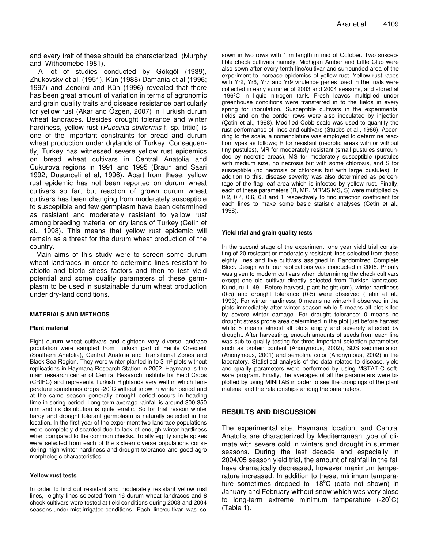and every trait of these should be characterized (Murphy and Withcomebe 1981).

A lot of studies conducted by Gökgöl (1939), Zhukovsky et al, (1951), Kün (1988) Damania et al (1996; 1997) and Zencirci and Kün (1996) revealed that there has been great amount of variation in terms of agronomic and grain quality traits and disease resistance particularly for yellow rust (Akar and Özgen, 2007) in Turkish durum wheat landraces. Besides drought tolerance and winter hardiness, yellow rust (*Puccinia striiformis* f. sp. tritici) is one of the important constraints for bread and durum wheat production under drylands of Turkey. Consequently, Turkey has witnessed severe yellow rust epidemics on bread wheat cultivars in Central Anatolia and Cukurova regions in 1991 and 1995 (Braun and Saari 1992; Dusunceli et al, 1996). Apart from these, yellow rust epidemic has not been reported on durum wheat cultivars so far, but reaction of grown durum wheat cultivars has been changing from moderately susceptible to susceptible and few germplasm have been determined as resistant and moderately resistant to yellow rust among breeding material on dry lands of Turkey (Cetin et al., 1998). This means that yellow rust epidemic will remain as a threat for the durum wheat production of the country.

Main aims of this study were to screen some durum wheat landraces in order to determine lines resistant to abiotic and biotic stress factors and then to test yield potential and some quality parameters of these germplasm to be used in sustainable durum wheat production under dry-land conditions.

#### **MATERIALS AND METHODS**

#### **Plant material**

Eight durum wheat cultivars and eighteen very diverse landrace population were sampled from Turkish part of Fertile Crescent (Southern Anatolia), Central Anatolia and Transitional Zones and Black Sea Region. They were winter planted in to 3 m² plots without replications in Haymana Research Station in 2002. Haymana is the main research center of Central Research Institute for Field Crops (CRIFC) and represents Turkish Highlands very well in which temperature sometimes drops -20°C without snow in winter period and at the same season generally drought period occurs in heading time in spring period. Long term average rainfall is around 300-350 mm and its distribution is quite erratic. So for that reason winter hardy and drought tolerant germplasm is naturally selected in the location. In the first year of the experiment two landrace populations were completely discarded due to lack of enough winter hardiness when compared to the common checks. Totally eighty single spikes were selected from each of the sixteen diverse populations considering high winter hardiness and drought tolerance and good agro morphologic characteristics.

#### **Yellow rust tests**

In order to find out resistant and moderately resistant yellow rust lines, eighty lines selected from 16 durum wheat landraces and 8 check cultivars were tested at field conditions during 2003 and 2004 seasons under mist irrigated conditions. Each line/cultivar was so

sown in two rows with 1 m length in mid of October. Two susceptible check cultivars namely, Michigan Amber and Little Club were also sown after every tenth line/cultivar and surrounded area of the experiment to increase epidemics of yellow rust. Yellow rust races with Yr2, Yr6, Yr7 and Yr9 virulence genes used in the trials were collected in early summer of 2003 and 2004 seasons, and stored at -196ºC in liquid nitrogen tank. Fresh leaves multiplied under greenhouse conditions were transferred in to the fields in every spring for inoculation. Susceptible cultivars in the experimental fields and on the border rows were also inoculated by injection (Çetin et al., 1998). Modified Cobb scale was used to quantify the rust performance of lines and cultivars (Stubbs et al., 1986). According to the scale, a nomenclature was employed to determine reaction types as follows; R for resistant (necrotic areas with or without tiny pustules), MR for moderately resistant (small pustules surrounded by necrotic areas), MS for moderately susceptible (pustules with medium size, no necrosis but with some chlorosis, and S for susceptible (no necrosis or chlorosis but with large pustules). In addition to this, disease severity was also determined as percentage of the flag leaf area which is infected by yellow rust. Finally, each of these parameters (R, MR, MRMS MS, S) were multiplied by 0.2, 0.4, 0.6, 0.8 and 1 respectively to find infection coefficient for each lines to make some basic statistic analyses (Cetin et al., 1998).

#### **Yield trial and grain quality tests**

In the second stage of the experiment, one year yield trial consisting of 20 resistant or moderately resistant lines selected from these eighty lines and five cultivars assigned in Randomized Complete Block Design with four replications was conducted in 2005. Priority was given to modern cultivars when determining the check cultivars except one old cultivar directly selected from Turkish landraces, Kunduru 1149. Before harvest, plant height (cm), winter hardiness (0-5) and drought tolerance (0-5) were observed (Tahir et al., 1993). For winter hardiness; 0 means no winterkill observed in the plots immediately after winter season while 5 means all plot killed by severe winter damage. For drought tolerance; 0 means no drought stress prone area determined in the plot just before harvest while 5 means almost all plots empty and severely affected by drought. After harvesting, enough amounts of seeds from each line was sub to quality testing for three important selection parameters such as protein content (Anonymous, 2002), SDS sedimentation (Anonymous, 2001) and semolina color (Anonymous, 2002) in the laboratory. Statistical analysis of the data related to disease, yield and quality parameters were performed by using MSTAT-C software program. Finally, the averages of all the parameters were biplotted by using MINITAB in order to see the groupings of the plant material and the relationships among the parameters.

#### **RESULTS AND DISCUSSION**

The experimental site, Haymana location, and Central Anatolia are characterized by Mediterranean type of climate with severe cold in winters and drought in summer seasons. During the last decade and especially in 2004/05 season yield trial, the amount of rainfall in the fall have dramatically decreased, however maximum temperature increased. In addition to these, minimum temperature sometimes dropped to -18 $^{\circ}$ C (data not shown) in January and February without snow which was very close to long-term extreme minimum temperature (-20°C) (Table 1).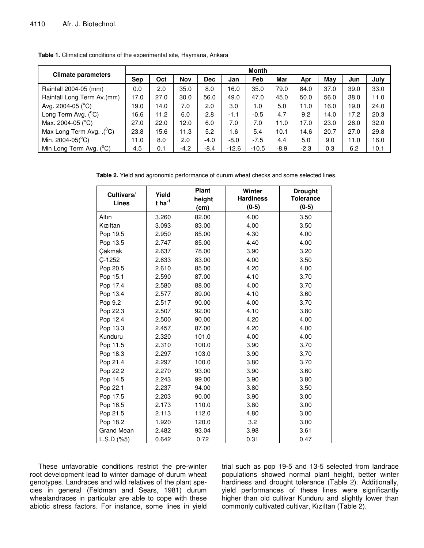|                                       | <b>Month</b> |      |            |            |         |         |        |        |      |      |      |
|---------------------------------------|--------------|------|------------|------------|---------|---------|--------|--------|------|------|------|
| <b>Climate parameters</b>             | <b>Sep</b>   | Oct  | <b>Nov</b> | <b>Dec</b> | Jan     | Feb     | Mar    | Apr    | May  | Jun  | July |
| Rainfall 2004-05 (mm)                 | 0.0          | 2.0  | 35.0       | 8.0        | 16.0    | 35.0    | 79.0   | 84.0   | 37.0 | 39.0 | 33.0 |
| Rainfall Long Term Av.(mm)            | 17.0         | 27.0 | 30.0       | 56.0       | 49.0    | 47.0    | 45.0   | 50.0   | 56.0 | 38.0 | 11.0 |
| Avg. 2004-05 $(C)$                    | 19.0         | 14.0 | 7.0        | 2.0        | 3.0     | 1.0     | 5.0    | 11.0   | 16.0 | 19.0 | 24.0 |
| Long Term Avg. $(^{\circ}C)$          | 16.6         | 11.2 | 6.0        | 2.8        | $-1.1$  | $-0.5$  | 4.7    | 9.2    | 14.0 | 17.2 | 20.3 |
| Max. 2004-05 ( $^{\circ}$ C)          | 27.0         | 22.0 | 12.0       | 6.0        | 7.0     | 7.0     | 11.0   | 17.0   | 23.0 | 26.0 | 32.0 |
| Max Long Term Avg. .( <sup>0</sup> C) | 23.8         | 15.6 | 11.3       | 5.2        | 1.6     | 5.4     | 10.1   | 14.6   | 20.7 | 27.0 | 29.8 |
| Min. 2004-05( $^{\circ}$ C)           | 11.0         | 8.0  | 2.0        | $-4.0$     | $-8.0$  | $-7.5$  | 4.4    | 5.0    | 9.0  | 11.0 | 16.0 |
| Min Long Term Avg. (°C)               | 4.5          | 0.1  | $-4.2$     | $-8.4$     | $-12.6$ | $-10.5$ | $-8.9$ | $-2.3$ | 0.3  | 6.2  | 10.1 |

**Table 1.** Climatical conditions of the experimental site, Haymana, Ankara

**Table 2.** Yield and agronomic performance of durum wheat checks and some selected lines.

| Cultivars/<br><b>Lines</b> | Yield<br>$t$ ha <sup>-1</sup> | Plant<br>height<br>(cm) | Winter<br><b>Hardiness</b><br>$(0-5)$ | <b>Drought</b><br><b>Tolerance</b><br>$(0-5)$ |
|----------------------------|-------------------------------|-------------------------|---------------------------------------|-----------------------------------------------|
| Altın                      | 3.260                         | 82.00                   | 4.00                                  | 3.50                                          |
| Kızıltan                   | 3.093                         | 83.00                   | 4.00                                  | 3.50                                          |
| Pop 19.5                   | 2.950                         | 85.00                   | 4.30                                  | 4.00                                          |
| Pop 13.5                   | 2.747                         | 85.00                   | 4.40                                  | 4.00                                          |
| Çakmak                     | 2.637                         | 78.00                   | 3.90                                  | 3.20                                          |
| $C-1252$                   | 2.633                         | 83.00                   | 4.00                                  | 3.50                                          |
| Pop 20.5                   | 2.610                         | 85.00                   | 4.20                                  | 4.00                                          |
| Pop 15.1                   | 2.590                         | 87.00                   | 4.10                                  | 3.70                                          |
| Pop 17.4                   | 2.580                         | 88.00                   | 4.00                                  | 3.70                                          |
| Pop 13.4                   | 2.577                         | 89.00                   | 4.10                                  | 3.60                                          |
| Pop 9.2                    | 2.517                         | 90.00                   | 4.00                                  | 3.70                                          |
| Pop 22.3                   | 2.507                         | 92.00                   | 4.10                                  | 3.80                                          |
| Pop 12.4                   | 2.500                         | 90.00                   | 4.20                                  | 4.00                                          |
| Pop 13.3                   | 2.457                         | 87.00                   | 4.20                                  | 4.00                                          |
| Kunduru                    | 2.320                         | 101.0                   | 4.00                                  | 4.00                                          |
| Pop 11.5                   | 2.310                         | 100.0                   | 3.90                                  | 3.70                                          |
| Pop 18.3                   | 2.297                         | 103.0                   | 3.90                                  | 3.70                                          |
| Pop 21.4                   | 2.297                         | 100.0                   | 3.80                                  | 3.70                                          |
| Pop 22.2                   | 2.270                         | 93.00                   | 3.90                                  | 3.60                                          |
| Pop 14.5                   | 2.243                         | 99.00                   | 3.90                                  | 3.80                                          |
| Pop 22.1                   | 2.237                         | 94.00                   | 3.80                                  | 3.50                                          |
| Pop 17.5                   | 2.203                         | 90.00                   | 3.90                                  | 3.00                                          |
| Pop 16.5                   | 2.173                         | 110.0                   | 3.80                                  | 3.00                                          |
| Pop 21.5                   | 2.113                         | 112.0                   | 4.80                                  | 3.00                                          |
| Pop 18.2                   | 1.920                         | 120.0                   | 3.2                                   | 3.00                                          |
| <b>Grand Mean</b>          | 2.482                         | 93.04                   | 3.98                                  | 3.61                                          |
| L.S.D.(%5)                 | 0.642                         | 0.72                    | 0.31                                  | 0.47                                          |

These unfavorable conditions restrict the pre-winter root development lead to winter damage of durum wheat genotypes. Landraces and wild relatives of the plant species in general (Feldman and Sears, 1981) durum whealandraces in particular are able to cope with these abiotic stress factors. For instance, some lines in yield trial such as pop 19-5 and 13-5 selected from landrace populations showed normal plant height, better winter hardiness and drought tolerance (Table 2). Additionally, yield performances of these lines were significantly higher than old cultivar Kunduru and slightly lower than commonly cultivated cultivar, Kızıltan (Table 2).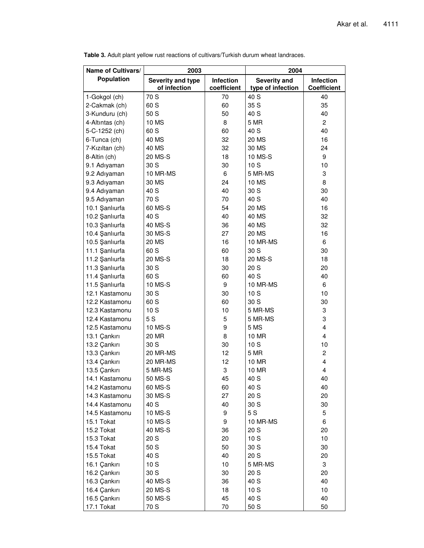| Name of Cultivars/ | 2003              |             | 2004              |                    |  |  |
|--------------------|-------------------|-------------|-------------------|--------------------|--|--|
| Population         | Severity and type | Infection   | Severity and      | <b>Infection</b>   |  |  |
|                    | of infection      | coefficient | type of infection | <b>Coefficient</b> |  |  |
| 1-Gokgol (ch)      | 70 S              | 70          | 40 S              | 40                 |  |  |
| 2-Cakmak (ch)      | 60 S              | 60          | 35 S              | 35                 |  |  |
| 3-Kunduru (ch)     | 50 S              | 50          | 40 S              | 40                 |  |  |
| 4-Altıntas (ch)    | 10 MS             | 8           | 5 MR              | $\overline{2}$     |  |  |
| 5-C-1252 (ch)      | 60 S              | 60          | 40 S              | 40                 |  |  |
| 6-Tunca (ch)       | 40 MS             | 32          | 20 MS             | 16                 |  |  |
| 7-Kızıltan (ch)    | 40 MS             | 32          | 30 MS             | 24                 |  |  |
| 8-Altin (ch)       | 20 MS-S           | 18          | 10 MS-S           | 9                  |  |  |
| 9.1 Adıyaman       | 30 S              | 30          | 10 S              | 10                 |  |  |
| 9.2 Adıyaman       | 10 MR-MS          | 6           | 5 MR-MS           | 3                  |  |  |
| 9.3 Adıyaman       | 30 MS             | 24          | <b>10 MS</b>      | 8                  |  |  |
| 9.4 Adıyaman       | 40 S              | 40          | 30 S              | 30                 |  |  |
| 9.5 Adıyaman       | 70 S              | 70          | 40 S              | 40                 |  |  |
| 10.1 Şanlıurfa     | 60 MS-S           | 54          | <b>20 MS</b>      | 16                 |  |  |
| 10.2 Şanlıurfa     | 40 S              | 40          | 40 MS             | 32                 |  |  |
| 10.3 Şanlıurfa     | 40 MS-S           | 36          | 40 MS             | 32                 |  |  |
| 10.4 Şanlıurfa     | 30 MS-S           | 27          | 20 MS             | 16                 |  |  |
| 10.5 Şanlıurfa     | <b>20 MS</b>      | 16          | 10 MR-MS          | 6                  |  |  |
| 11.1 Şanlıurfa     | 60 S              | 60          | 30 S              | 30                 |  |  |
| 11.2 Şanlıurfa     | 20 MS-S           | 18          | 20 MS-S           | 18                 |  |  |
| 11.3 Şanlıurfa     | 30 S              | 30          | 20 S              | 20                 |  |  |
| 11.4 Şanlıurfa     | 60 S              | 60          | 40 S              | 40                 |  |  |
| 11.5 Şanlıurfa     | 10 MS-S           | 9           | 10 MR-MS          | 6                  |  |  |
| 12.1 Kastamonu     | 30 S              | 30          | 10S               | 10                 |  |  |
| 12.2 Kastamonu     | 60 S              | 60          | 30 S              | 30                 |  |  |
| 12.3 Kastamonu     | 10S               | 10          | 5 MR-MS           | 3                  |  |  |
| 12.4 Kastamonu     | 5S                | 5           | 5 MR-MS           | 3                  |  |  |
| 12.5 Kastamonu     | 10 MS-S           | 9           | 5 MS              | 4                  |  |  |
| 13.1 Çankırı       | 20 MR             | 8           | 10 MR             | 4                  |  |  |
| 13.2 Çankırı       | 30 S              | 30          | 10S               | 10                 |  |  |
| 13.3 Çankırı       | 20 MR-MS          | 12          | 5 MR              | $\overline{c}$     |  |  |
| 13.4 Çankırı       | 20 MR-MS          | 12          | 10 MR             | $\overline{4}$     |  |  |
| 13.5 Çankırı       | 5 MR-MS           | 3           | 10 MR             | 4                  |  |  |
| 14.1 Kastamonu     | 50 MS-S           | 45          | 40 S              | 40                 |  |  |
| 14.2 Kastamonu     | 60 MS-S           | 60          | 40 S              | 40                 |  |  |
| 14.3 Kastamonu     | 30 MS-S           | 27          | 20 S              | 20                 |  |  |
| 14.4 Kastamonu     | 40 S              | 40          | 30 S              | 30                 |  |  |
| 14.5 Kastamonu     | 10 MS-S           | 9           | 5S                | 5                  |  |  |
| 15.1 Tokat         | 10 MS-S           | 9           | 10 MR-MS          | 6                  |  |  |
| 15.2 Tokat         | 40 MS-S           | 36          | 20 S              | 20                 |  |  |
| 15.3 Tokat         | 20 S              | 20          | 10S               | 10                 |  |  |
| 15.4 Tokat         | 50 S              | 50          | 30 S              | 30                 |  |  |
| 15.5 Tokat         | 40 S              | 40          | 20 S              | 20                 |  |  |
| 16.1 Çankırı       | 10S               | 10          | 5 MR-MS           | 3                  |  |  |
| 16.2 Çankırı       | 30 S              | 30          | 20 S              | 20                 |  |  |
| 16.3 Çankırı       | 40 MS-S           | 36          | 40 S              | 40                 |  |  |
| 16.4 Çankırı       | 20 MS-S           | 18          | 10S               | 10                 |  |  |
| 16.5 Çankırı       | 50 MS-S           | 45          | 40 S              | 40                 |  |  |
| 17.1 Tokat         | 70 S              | 70          | 50 S              | 50                 |  |  |

**Table 3.** Adult plant yellow rust reactions of cultivars/Turkish durum wheat landraces.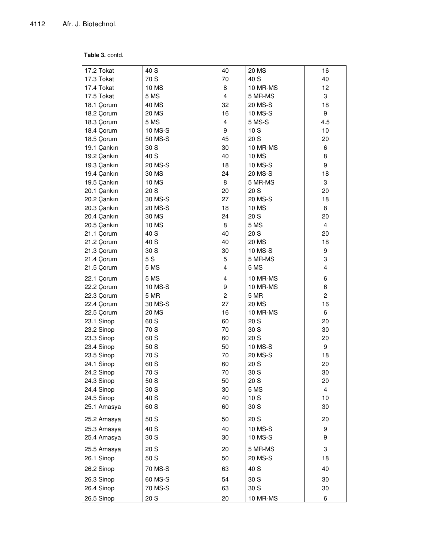#### **Table 3. contd.**

| 17.2 Tokat   | 40 S    | 40             | 20 MS    | 16             |
|--------------|---------|----------------|----------|----------------|
| 17.3 Tokat   | 70 S    | 70             | 40 S     | 40             |
| 17.4 Tokat   | 10 MS   | 8              | 10 MR-MS | 12             |
| 17.5 Tokat   | 5 MS    | 4              | 5 MR-MS  | 3              |
| 18.1 Çorum   | 40 MS   | 32             | 20 MS-S  | 18             |
| 18.2 Çorum   | 20 MS   | 16             | 10 MS-S  | 9              |
| 18.3 Çorum   | 5 MS    | $\overline{4}$ | 5 MS-S   | 4.5            |
| 18.4 Çorum   | 10 MS-S | 9              | 10S      | 10             |
| 18.5 Çorum   | 50 MS-S | 45             | 20 S     | 20             |
| 19.1 Çankırı | 30 S    | 30             | 10 MR-MS | 6              |
| 19.2 Çankırı | 40 S    | 40             | 10 MS    | 8              |
| 19.3 Çankırı | 20 MS-S | 18             | 10 MS-S  | 9              |
| 19.4 Çankırı | 30 MS   | 24             | 20 MS-S  | 18             |
| 19.5 Çankırı | 10 MS   | 8              | 5 MR-MS  | 3              |
| 20.1 Çankırı | 20 S    | 20             | 20 S     | 20             |
| 20.2 Çankırı | 30 MS-S | 27             | 20 MS-S  | 18             |
| 20.3 Çankırı | 20 MS-S | 18             | 10 MS    | 8              |
| 20.4 Çankırı | 30 MS   | 24             | 20 S     | 20             |
| 20.5 Çankırı | 10 MS   | 8              | 5 MS     | 4              |
| 21.1 Çorum   | 40 S    | 40             | 20 S     | 20             |
| 21.2 Çorum   | 40 S    | 40             | 20 MS    | 18             |
| 21.3 Çorum   | 30 S    | 30             | 10 MS-S  | 9              |
| 21.4 Çorum   | 5S      | 5              | 5 MR-MS  | 3              |
| 21.5 Çorum   | 5 MS    | 4              | 5 MS     | 4              |
| 22.1 Çorum   | 5 MS    | 4              | 10 MR-MS | 6              |
| 22.2 Çorum   | 10 MS-S | 9              | 10 MR-MS | 6              |
| 22.3 Çorum   | 5 MR    | $\overline{c}$ | 5 MR     | $\overline{c}$ |
| 22.4 Çorum   | 30 MS-S | 27             | 20 MS    | 16             |
| 22.5 Çorum   | 20 MS   | 16             | 10 MR-MS | 6              |
| 23.1 Sinop   | 60 S    | 60             | 20 S     | 20             |
| 23.2 Sinop   | 70 S    | 70             | 30 S     | 30             |
| 23.3 Sinop   | 60 S    | 60             | 20 S     | 20             |
| 23.4 Sinop   | 50 S    | 50             | 10 MS-S  | 9              |
| 23.5 Sinop   | 70 S    | 70             | 20 MS-S  | 18             |
| 24.1 Sinop   | 60 S    | 60             | 20 S     | 20             |
| 24.2 Sinop   | 70 S    | 70             | 30 S     | 30             |
| 24.3 Sinop   | 50 S    | 50             | 20 S     | 20             |
| 24.4 Sinop   | 30 S    | 30             | 5 MS     | $\overline{4}$ |
| 24.5 Sinop   | 40 S    | 40             | 10S      | 10             |
| 25.1 Amasya  | 60 S    | 60             | 30 S     | 30             |
| 25.2 Amasya  | 50 S    | 50             | 20 S     | 20             |
| 25.3 Amasya  | 40 S    | 40             | 10 MS-S  | 9              |
| 25.4 Amasya  | 30 S    | 30             | 10 MS-S  | 9              |
| 25.5 Amasya  | 20 S    | 20             | 5 MR-MS  | 3              |
| 26.1 Sinop   | 50 S    | 50             | 20 MS-S  | 18             |
| 26.2 Sinop   | 70 MS-S | 63             | 40 S     | 40             |
| 26.3 Sinop   | 60 MS-S | 54             | 30 S     | 30             |
| 26.4 Sinop   | 70 MS-S | 63             | 30 S     | 30             |
| 26.5 Sinop   | 20 S    | 20             | 10 MR-MS | 6              |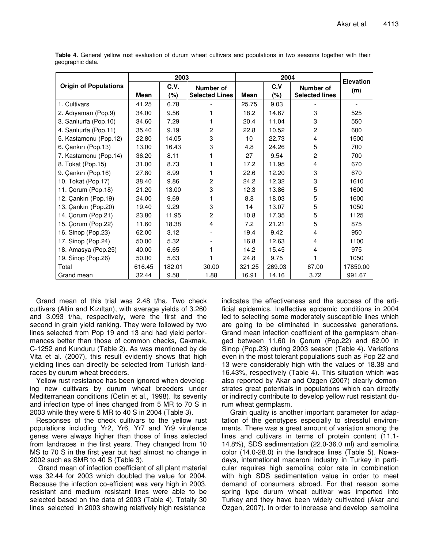|                              | 2003   |        |                       | 2004   |        |                       | <b>Elevation</b> |
|------------------------------|--------|--------|-----------------------|--------|--------|-----------------------|------------------|
| <b>Origin of Populations</b> |        | C.V.   | Number of             |        | C.V    | Number of             | (m)              |
|                              | Mean   | $(\%)$ | <b>Selected Lines</b> | Mean   | $(\%)$ | <b>Selected lines</b> |                  |
| 1. Cultivars                 | 41.25  | 6.78   |                       | 25.75  | 9.03   |                       |                  |
| 2. Adıyaman (Pop.9)          | 34.00  | 9.56   |                       | 18.2   | 14.67  | 3                     | 525              |
| 3. Sanliurfa (Pop.10)        | 34.60  | 7.29   |                       | 20.4   | 11.04  | 3                     | 550              |
| 4. Sanlıurfa (Pop.11)        | 35.40  | 9.19   | $\overline{c}$        | 22.8   | 10.52  | $\overline{c}$        | 600              |
| 5. Kastamonu (Pop.12)        | 22.80  | 14.05  | 3                     | 10     | 22.73  | 4                     | 1500             |
| 6. Çankırı (Pop.13)          | 13.00  | 16.43  | 3                     | 4.8    | 24.26  | 5                     | 700              |
| 7. Kastamonu (Pop.14)        | 36.20  | 8.11   |                       | 27     | 9.54   | $\overline{c}$        | 700              |
| 8. Tokat (Pop.15)            | 31.00  | 8.73   |                       | 17.2   | 11.95  | 4                     | 670              |
| 9. Çankırı (Pop.16)          | 27.80  | 8.99   |                       | 22.6   | 12.20  | 3                     | 670              |
| 10. Tokat (Pop.17)           | 38.40  | 9.86   | $\overline{2}$        | 24.2   | 12.32  | 3                     | 1610             |
| 11. Çorum (Pop.18)           | 21.20  | 13.00  | 3                     | 12.3   | 13.86  | 5                     | 1600             |
| 12. Çankırı (Pop.19)         | 24.00  | 9.69   |                       | 8.8    | 18.03  | 5                     | 1600             |
| 13. Çankırı (Pop.20)         | 19.40  | 9.29   | 3                     | 14     | 13.07  | 5                     | 1050             |
| 14. Corum (Pop.21)           | 23.80  | 11.95  | $\overline{c}$        | 10.8   | 17.35  | 5                     | 1125             |
| 15. Corum (Pop.22)           | 11.60  | 18.38  | 4                     | 7.2    | 21.21  | 5                     | 875              |
| 16. Sinop (Pop.23)           | 62.00  | 3.12   |                       | 19.4   | 9.42   | 4                     | 950              |
| 17. Sinop (Pop.24)           | 50.00  | 5.32   |                       | 16.8   | 12.63  | 4                     | 1100             |
| 18. Amasya (Pop.25)          | 40.00  | 6.65   |                       | 14.2   | 15.45  | 4                     | 975              |
| 19. Sinop (Pop.26)           | 50.00  | 5.63   |                       | 24.8   | 9.75   |                       | 1050             |
| Total                        | 616.45 | 182.01 | 30.00                 | 321.25 | 269.03 | 67.00                 | 17850.00         |
| Grand mean                   | 32.44  | 9.58   | 1.88                  | 16.91  | 14.16  | 3.72                  | 991.67           |

**Table 4.** General yellow rust evaluation of durum wheat cultivars and populations in two seasons together with their geographic data.

Grand mean of this trial was 2.48 t/ha. Two check cultivars (Altin and Kızıltan), with average yields of 3.260 and 3.093 t/ha, respectively, were the first and the second in grain yield ranking. They were followed by two lines selected from Pop 19 and 13 and had yield performances better than those of common checks, Cakmak, C-1252 and Kunduru (Table 2). As was mentioned by de Vita et al. (2007), this result evidently shows that high yielding lines can directly be selected from Turkish landraces by durum wheat breeders.

Yellow rust resistance has been ignored when developing new cultivars by durum wheat breeders under Mediterranean conditions (Cetin et al., 1998). Its severity and infection type of lines changed from 5 MR to 70 S in 2003 while they were 5 MR to 40 S in 2004 (Table 3).

Responses of the check cultivars to the yellow rust populations including Yr2, Yr6, Yr7 and Yr9 virulence genes were always higher than those of lines selected from landraces in the first years. They changed from 10 MS to 70 S in the first year but had almost no change in 2002 such as SMR to 40 S (Table 3).

Grand mean of infection coefficient of all plant material was 32.44 for 2003 which doubled the value for 2004. Because the infection co-efficient was very high in 2003, resistant and medium resistant lines were able to be selected based on the data of 2003 (Table 4). Totally 30 lines selected in 2003 showing relatively high resistance

indicates the effectiveness and the success of the artificial epidemics. Ineffective epidemic conditions in 2004 led to selecting some moderately susceptible lines which are going to be eliminated in successive generations. Grand mean infection coefficient of the germplasm changed between 11.60 in Çorum (Pop.22) and 62.00 in Sinop (Pop.23) during 2003 season (Table 4). Variations even in the most tolerant populations such as Pop 22 and 13 were considerably high with the values of 18.38 and 16.43%, respectively (Table 4). This situation which was also reported by Akar and Özgen (2007) clearly demonstrates great potentials in populations which can directly or indirectly contribute to develop yellow rust resistant durum wheat germplasm.

Grain quality is another important parameter for adaptation of the genotypes especially to stressful environments. There was a great amount of variation among the lines and cultivars in terms of protein content (11.1- 14.8%), SDS sedimentation (22.0-36.0 ml) and semolina color (14.0-28.0) in the landrace lines (Table 5). Nowadays, international macaroni industry in Turkey in particular requires high semolina color rate in combination with high SDS sedimentation value in order to meet demand of consumers abroad. For that reason some spring type durum wheat cultivar was imported into Turkey and they have been widely cultivated (Akar and Özgen, 2007). In order to increase and develop semolina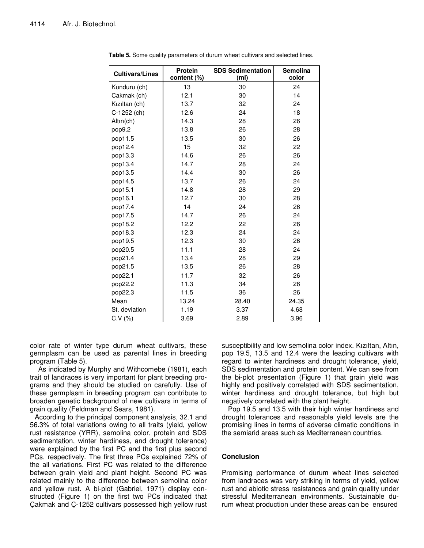| <b>Cultivars/Lines</b> | <b>Protein</b><br>content (%) | <b>SDS Sedimentation</b><br>(m <sub>l</sub> ) | <b>Semolina</b><br>color |
|------------------------|-------------------------------|-----------------------------------------------|--------------------------|
| Kunduru (ch)           | 13                            | 30                                            | 24                       |
| Cakmak (ch)            | 12.1                          | 30                                            | 14                       |
| Kızıltan (ch)          | 13.7                          | 32                                            | 24                       |
| C-1252 (ch)            | 12.6                          | 24                                            | 18                       |
| Altın(ch)              | 14.3                          | 28                                            | 26                       |
| pop9.2                 | 13.8                          | 26                                            | 28                       |
| pop11.5                | 13.5                          | 30                                            | 26                       |
| pop12.4                | 15                            | 32                                            | 22                       |
| pop13.3                | 14.6                          | 26                                            | 26                       |
| pop13.4                | 14.7                          | 28                                            | 24                       |
| pop13.5                | 14.4                          | 30                                            | 26                       |
| pop14.5                | 13.7                          | 26                                            | 24                       |
| pop15.1                | 14.8                          | 28                                            | 29                       |
| pop16.1                | 12.7                          | 30                                            | 28                       |
| pop17.4                | 14                            | 24                                            | 26                       |
| pop17.5                | 14.7                          | 26                                            | 24                       |
| pop18.2                | 12.2                          | 22                                            | 26                       |
| pop18.3                | 12.3                          | 24                                            | 24                       |
| pop19.5                | 12.3                          | 30                                            | 26                       |
| pop20.5                | 11.1                          | 28                                            | 24                       |
| pop21.4                | 13.4                          | 28                                            | 29                       |
| pop21.5                | 13.5                          | 26                                            | 28                       |
| pop22.1                | 11.7                          | 32                                            | 26                       |
| pop22.2                | 11.3                          | 34                                            | 26                       |
| pop22.3                | 11.5                          | 36                                            | 26                       |
| Mean                   | 13.24                         | 28.40                                         | 24.35                    |
| St. deviation          | 1.19                          | 3.37                                          | 4.68                     |
| C.V (%)                | 3.69                          | 2.89                                          | 3.96                     |

**Table 5.** Some quality parameters of durum wheat cultivars and selected lines.

color rate of winter type durum wheat cultivars, these germplasm can be used as parental lines in breeding program (Table 5).

As indicated by Murphy and Withcomebe (1981), each trait of landraces is very important for plant breeding programs and they should be studied on carefully. Use of these germplasm in breeding program can contribute to broaden genetic background of new cultivars in terms of grain quality (Feldman and Sears, 1981).

According to the principal component analysis, 32.1 and 56.3% of total variations owing to all traits (yield, yellow rust resistance (YRR), semolina color, protein and SDS sedimentation, winter hardiness, and drought tolerance) were explained by the first PC and the first plus second PCs, respectively. The first three PCs explained 72% of the all variations. First PC was related to the difference between grain yield and plant height. Second PC was related mainly to the difference between semolina color and yellow rust. A bi-plot (Gabriel, 1971) display constructed (Figure 1) on the first two PCs indicated that Çakmak and Ç-1252 cultivars possessed high yellow rust

susceptibility and low semolina color index. Kızıltan, Altın, pop 19.5, 13.5 and 12.4 were the leading cultivars with regard to winter hardiness and drought tolerance, yield, SDS sedimentation and protein content. We can see from the bi-plot presentation (Figure 1) that grain yield was highly and positively correlated with SDS sedimentation, winter hardiness and drought tolerance, but high but negatively correlated with the plant height.

Pop 19.5 and 13.5 with their high winter hardiness and drought tolerances and reasonable yield levels are the promising lines in terms of adverse climatic conditions in the semiarid areas such as Mediterranean countries.

#### **Conclusion**

Promising performance of durum wheat lines selected from landraces was very striking in terms of yield, yellow rust and abiotic stress resistances and grain quality under stressful Mediterranean environments. Sustainable durum wheat production under these areas can be ensured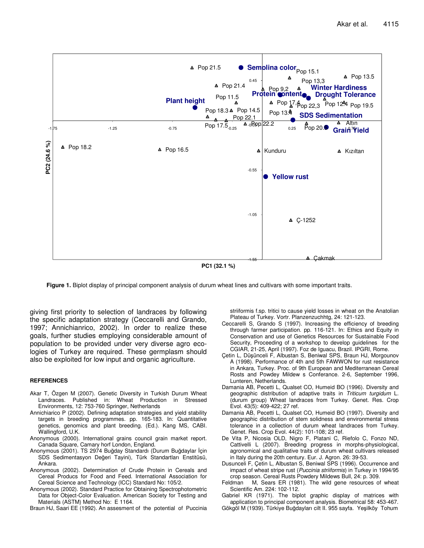

**PC1 (32.1 %)**

**Figure 1.** Biplot display of principal component analysis of durum wheat lines and cultivars with some important traits.

giving first priority to selection of landraces by following the specific adaptation strategy (Ceccarelli and Grando, 1997; Annichianrico, 2002). In order to realize these goals, further studies employing considerable amount of population to be provided under very diverse agro ecologies of Turkey are required. These germplasm should also be exploited for low input and organic agriculture.

#### **REFERENCES**

- Akar T, Özgen M (2007). Genetic Diversity in Turkish Durum Wheat Landraces. Published in: Wheat Production in Stressed Environments, 12: 753-760 Springer, Netherlands
- Annichiarico P (2002). Defining adaptation strategies and yield stability targets in breeding programmes. pp. 165-183. In: Quantitative genetics, genomics and plant breeding. (Ed.). Kang MS, CABI. Wallingford, U.K.
- Anonymous (2000). International grains council grain market report. Canada Square, Camary horf London, England.
- Anonymous (2001). TS 2974 Buğday Standardı (Durum Buğdaylar İçin SDS Sedimentasyon Değeri Tayini), Türk Standartları Enstitüsü, Ankara.
- Anonymous (2002). Determination of Crude Protein in Cereals and Cereal Producs for Food and Feed. International Association for Cereal Science and Technology (ICC) Standard No: 105/2.
- Anonymous (2002). Standard Practice for Obtaining Spectrophotometric Data for Object-Color Evaluation. American Society for Testing and Materials (ASTM) Method No: E 1164.

Braun HJ, Saari EE (1992). An assesment of the potential of Puccinia

striiformis f.sp. tritici to cause yield losses in wheat on the Anatolian Plateau of Turkey. Vortr. Planzenzuchhtg, 24: 121-123.

- Ceccarelli S, Grando S (1997). Increasing the efficiency of breeding through farmer participation. pp. 116-121. In: Ethics and Equity in Conservation and use of Genetics Resources for Sustainable Food Security, Proceeding of a workshop to develop guidelines for the CGIAR, 21-25, April (1997). Foz de Iguacu, Brazil. IPGRI, Rome.
- Çetin L, Düşünceli F, Albustan S, Beniwal SPS, Braun HJ, Morgounov A (1998). Performance of 4th and 5th FAWWON for rust resistance in Ankara, Turkey. Proc. of 9th European and Mediterranean Cereal Rosts and Powdey Mildew s Conferance. 2-6, September 1996, Lunteren, Netherlands.
- Damania AB, Pecetti L, Qualset CO, Humeid BO (1996). Diversity and geographic distribution of adaptive traits in *Triticum turgidum* L. (durum group) Wheat landraces from Turkey. Genet. Res. Crop Evol. 43(5): 409-422; 27 ref.
- Damania AB, Pecetti L, Qualset CO, Humeid BO (1997). Diversity and geographic distribution of stem solidness and environmental stress tolerance in a collection of durum wheat landraces from Turkey. Genet. Res. Crop Evol. 44(2): 101-108; 23 ref.
- De Vita P, Nicosia OLD, Nigro F, Platani C, Riefolo C, Fonzo ND, Cattivelli L (2007). Breeding progress in morphs-physiological, agronomical and qualitative traits of durum wheat cultivars released in Italy during the 20th century. Eur. J. Agron. 26: 39-53.
- Dusunceli F, Çetin L, Albustan S, Beniwal SPS (1996). Occurrence and impact of wheat stripe rust (*Puccinia striiformis*) in Turkey in 1994/95 crop season. Cereal Rusts Powdery Mildews Bull, 24: p. 309.
- M, Sears ER (1981). The wild gene resources of wheat Scientific Am. 224: 102-112.
- Gabriel KR (1971). The biplot graphic display of matrices with application to principal component analysis. Biometrical 58: 453-467.
- Gökgöl M (1939). Türkiye Buğdayları cilt II. 955 sayfa. Yeşilköy Tohum